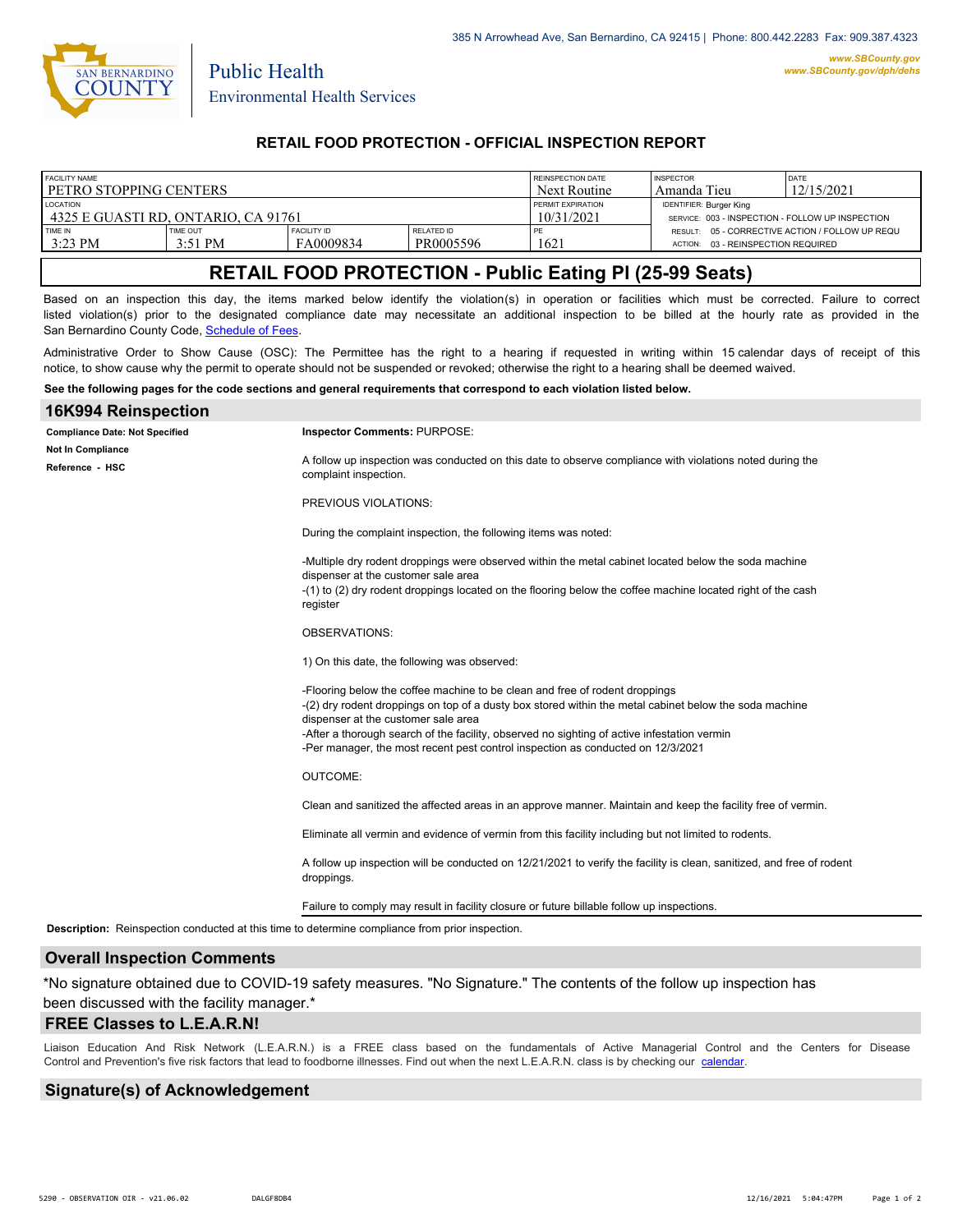

Public Health

### **RETAIL FOOD PROTECTION - OFFICIAL INSPECTION REPORT**

| <b>FACILITY NAME</b>                  |                               |                                 |                                | <b>REINSPECTION DATE</b> | <b>INSPECTOR</b>                                                                         | <b>IDATE</b> |
|---------------------------------------|-------------------------------|---------------------------------|--------------------------------|--------------------------|------------------------------------------------------------------------------------------|--------------|
| l PETRO STOPPING CENTERS              |                               |                                 |                                | Next Routine             | Amanda Tieu                                                                              | 12/15/2021   |
| <b>LOCATION</b>                       |                               |                                 |                                | <b>PERMIT EXPIRATION</b> | <b>IDENTIFIER: Burger King</b>                                                           |              |
| 1 4325 E GUASTI RD. ONTARIO. CA 91761 |                               |                                 |                                | 10/31/2021               | SERVICE: 003 - INSPECTION - FOLLOW UP INSPECTION                                         |              |
| TIME IN<br>$3:23$ PM                  | TIME OUT<br>$3:51 \text{ PM}$ | <b>FACILITY ID</b><br>FA0009834 | <b>RELATED ID</b><br>PR0005596 | 1621                     | RESULT: 05 - CORRECTIVE ACTION / FOLLOW UP REQU<br>03 - REINSPECTION REQUIRED<br>ACTION: |              |

# **RETAIL FOOD PROTECTION - Public Eating Pl (25-99 Seats)**

Based on an inspection this day, the items marked below identify the violation(s) in operation or facilities which must be corrected. Failure to correct listed violation(s) prior to the designated compliance date may necessitate an additional inspection to be billed at the hourly rate as provided in the San Bernardino County Code, Schedule of Fees

Administrative Order to Show Cause (OSC): The Permittee has the right to a hearing if requested in writing within 15 calendar days of receipt of this notice, to show cause why the permit to operate should not be suspended or revoked; otherwise the right to a hearing shall be deemed waived.

#### **See the following pages for the code sections and general requirements that correspond to each violation listed below.**

| 16K994 Reinspection                                                                             |                                                                                                                                                                                                                                                                                                                                                                                                                |  |  |  |
|-------------------------------------------------------------------------------------------------|----------------------------------------------------------------------------------------------------------------------------------------------------------------------------------------------------------------------------------------------------------------------------------------------------------------------------------------------------------------------------------------------------------------|--|--|--|
| <b>Compliance Date: Not Specified</b>                                                           | Inspector Comments: PURPOSE:                                                                                                                                                                                                                                                                                                                                                                                   |  |  |  |
| <b>Not In Compliance</b><br>Reference - HSC                                                     | A follow up inspection was conducted on this date to observe compliance with violations noted during the<br>complaint inspection.                                                                                                                                                                                                                                                                              |  |  |  |
|                                                                                                 | PREVIOUS VIOLATIONS:                                                                                                                                                                                                                                                                                                                                                                                           |  |  |  |
|                                                                                                 | During the complaint inspection, the following items was noted:                                                                                                                                                                                                                                                                                                                                                |  |  |  |
|                                                                                                 | -Multiple dry rodent droppings were observed within the metal cabinet located below the soda machine<br>dispenser at the customer sale area<br>-(1) to (2) dry rodent droppings located on the flooring below the coffee machine located right of the cash                                                                                                                                                     |  |  |  |
|                                                                                                 | register<br><b>OBSERVATIONS:</b>                                                                                                                                                                                                                                                                                                                                                                               |  |  |  |
|                                                                                                 | 1) On this date, the following was observed:                                                                                                                                                                                                                                                                                                                                                                   |  |  |  |
|                                                                                                 | -Flooring below the coffee machine to be clean and free of rodent droppings<br>-(2) dry rodent droppings on top of a dusty box stored within the metal cabinet below the soda machine<br>dispenser at the customer sale area<br>-After a thorough search of the facility, observed no sighting of active infestation vermin<br>-Per manager, the most recent pest control inspection as conducted on 12/3/2021 |  |  |  |
|                                                                                                 | <b>OUTCOME:</b>                                                                                                                                                                                                                                                                                                                                                                                                |  |  |  |
|                                                                                                 | Clean and sanitized the affected areas in an approve manner. Maintain and keep the facility free of vermin.                                                                                                                                                                                                                                                                                                    |  |  |  |
|                                                                                                 | Eliminate all vermin and evidence of vermin from this facility including but not limited to rodents.                                                                                                                                                                                                                                                                                                           |  |  |  |
|                                                                                                 | A follow up inspection will be conducted on 12/21/2021 to verify the facility is clean, sanitized, and free of rodent<br>droppings.                                                                                                                                                                                                                                                                            |  |  |  |
|                                                                                                 | Failure to comply may result in facility closure or future billable follow up inspections.                                                                                                                                                                                                                                                                                                                     |  |  |  |
| Description: Reinspection conducted at this time to determine compliance from prior inspection. |                                                                                                                                                                                                                                                                                                                                                                                                                |  |  |  |

### **Overall Inspection Comments**

\*No signature obtained due to COVID-19 safety measures. "No Signature." The contents of the follow up inspection has been discussed with the facility manager.\*

#### **FREE Classes to L.E.A.R.N!**

Liaison Education And Risk Network (L.E.A.R.N.) is a FREE class based on the fundamentals of Active Managerial Control and [the Centers](http://wp.sbcounty.gov/dph/events/) for Disease Control and Prevention's five risk factors that lead to foodborne illnesses. Find out when the next L.E.A.R.N. class is by checking our calendar.

## **Signature(s) of Acknowledgement**